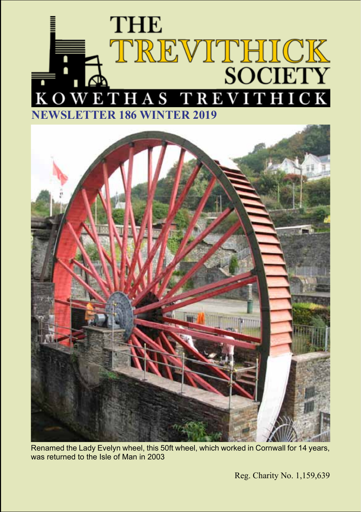



Renamed the Lady Evelyn wheel, this 50ft wheel, which worked in Cornwall for 14 years, was returned to the Isle of Man in 2003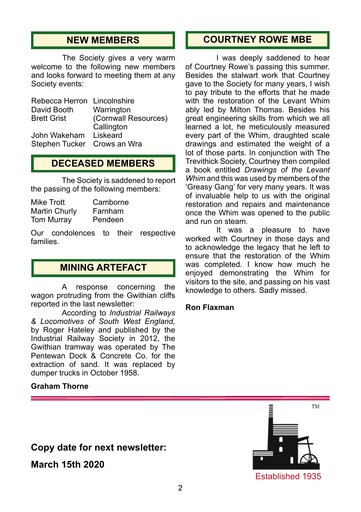# **NEW MEMBERS**

The Society gives a very warm welcome to the following new members and looks forward to meeting them at any Society events:

| Rebecca Herron Lincolnshire |                      |
|-----------------------------|----------------------|
| David Booth                 | Warrington           |
| <b>Brett Grist</b>          | (Cornwall Resources) |
|                             | Callington           |
| John Wakeham Liskeard       |                      |
| Stephen Tucker Crows an Wra |                      |

### **DECEASED MEMBERS**

The Society is saddened to report the passing of the following members:

| Mike Trott    | Camborne |
|---------------|----------|
| Martin Churly | Farnham  |
| Tom Murray    | Pendeen  |

Our condolences to their respective families.

## **MINING ARTEFACT**

A response concerning the wagon protruding from the Gwithian cliffs reported in the last newsletter:

According to *Industrial Railways & Locomotives of South West England,* by Roger Hateley and published by the Industrial Railway Society in 2012, the Gwithian tramway was operated by The Pentewan Dock & Concrete Co. for the extraction of sand. It was replaced by dumper trucks in October 1958.

#### **Graham Thorne**

# **COURTNEY ROWE MBE**

I was deeply saddened to hear of Courtney Rowe's passing this summer. Besides the stalwart work that Courtney gave to the Society for many years, I wish to pay tribute to the efforts that he made with the restoration of the Levant Whim ably led by Milton Thomas. Besides his great engineering skills from which we all learned a lot, he meticulously measured every part of the Whim, draughted scale drawings and estimated the weight of a lot of those parts. In conjunction with The Trevithick Society, Courtney then compiled a book entitled *Drawings of the Levant Whim* and this was used by members of the 'Greasy Gang' for very many years. It was of invaluable help to us with the original restoration and repairs and maintenance once the Whim was opened to the public and run on steam.

It was a pleasure to have worked with Courtney in those days and to acknowledge the legacy that he left to ensure that the restoration of the Whim was completed. I know how much he enjoyed demonstrating the Whim for visitors to the site, and passing on his vast knowledge to others. Sadly missed.

#### **Ron Flaxman**



**March 15th 2020**

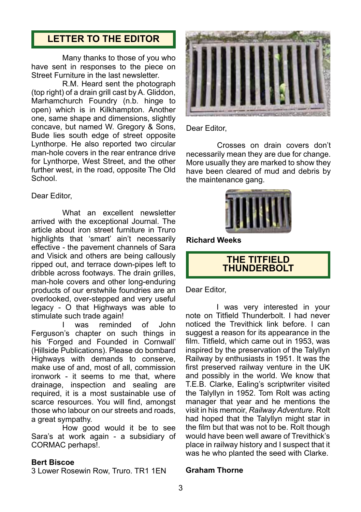# **LETTER TO THE EDITOR**

Many thanks to those of you who have sent in responses to the piece on Street Furniture in the last newsletter.

R.M. Heard sent the photograph (top right) of a drain grill cast by A. Gliddon, Marhamchurch Foundry (n.b. hinge to open) which is in Kilkhampton. Another one, same shape and dimensions, slightly concave, but named W. Gregory & Sons, Bude lies south edge of street opposite Lynthorpe. He also reported two circular man-hole covers in the rear entrance drive for Lynthorpe, West Street, and the other further west, in the road, opposite The Old School.

#### Dear Editor,

What an excellent newsletter arrived with the exceptional Journal. The article about iron street furniture in Truro highlights that 'smart' ain't necessarily effective - the pavement channels of Sara and Visick and others are being callously ripped out, and terrace down-pipes left to dribble across footways. The drain grilles, man-hole covers and other long-enduring products of our erstwhile foundries are an overlooked, over-stepped and very useful legacy - O that Highways was able to stimulate such trade again!

was reminded of John Ferguson's chapter on such things in his 'Forged and Founded in Cornwall' (Hillside Publications). Please do bombard Highways with demands to conserve, make use of and, most of all, commission ironwork - it seems to me that, where drainage, inspection and sealing are required, it is a most sustainable use of scarce resources. You will find, amongst those who labour on our streets and roads, a great sympathy.

How good would it be to see Sara's at work again - a subsidiary of CORMAC perhaps!.

#### **Bert Biscoe**

3 Lower Rosewin Row, Truro. TR1 1EN



Dear Editor,

Crosses on drain covers don't necessarily mean they are due for change. More usually they are marked to show they have been cleared of mud and debris by the maintenance gang.



**Richard Weeks**

#### **THE TITFIELD THUNDERBOLT**

Dear Editor,

I was very interested in your note on Titfield Thunderbolt. I had never noticed the Trevithick link before. I can suggest a reason for its appearance in the film. Titfield, which came out in 1953, was inspired by the preservation of the Talyllyn Railway by enthusiasts in 1951. It was the first preserved railway venture in the UK and possibly in the world. We know that T.E.B. Clarke, Ealing's scriptwriter visited the Talyllyn in 1952. Tom Rolt was acting manager that year and he mentions the visit in his memoir, *Railway Adventure*. Rolt had hoped that the Talyllyn might star in the film but that was not to be. Rolt though would have been well aware of Trevithick's place in railway history and I suspect that it was he who planted the seed with Clarke.

#### **Graham Thorne**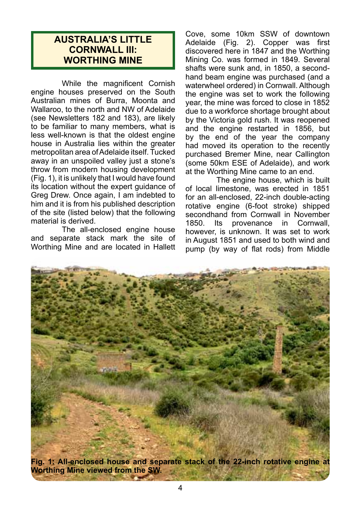# **AUSTRALIA'S LITTLE CORNWALL III: WORTHING MINE**

While the magnificent Cornish engine houses preserved on the South Australian mines of Burra, Moonta and Wallaroo, to the north and NW of Adelaide (see Newsletters 182 and 183), are likely to be familiar to many members, what is less well-known is that the oldest engine house in Australia lies within the greater metropolitan area of Adelaide itself. Tucked away in an unspoiled valley just a stone's throw from modern housing development (Fig. 1), it is unlikely that I would have found its location without the expert guidance of Greg Drew. Once again, I am indebted to him and it is from his published description of the site (listed below) that the following material is derived.

The all-enclosed engine house and separate stack mark the site of Worthing Mine and are located in Hallett

Cove, some 10km SSW of downtown Adelaide (Fig. 2). Copper was first discovered here in 1847 and the Worthing Mining Co. was formed in 1849. Several shafts were sunk and, in 1850, a secondhand beam engine was purchased (and a waterwheel ordered) in Cornwall. Although the engine was set to work the following year, the mine was forced to close in 1852 due to a workforce shortage brought about by the Victoria gold rush. It was reopened and the engine restarted in 1856, but by the end of the year the company had moved its operation to the recently purchased Bremer Mine, near Callington (some 50km ESE of Adelaide), and work at the Worthing Mine came to an end.

The engine house, which is built of local limestone, was erected in 1851 for an all-enclosed, 22-inch double-acting rotative engine (6-foot stroke) shipped secondhand from Cornwall in November<br>1850. Its provenance in Cornwall. in Cornwall, however, is unknown. It was set to work in August 1851 and used to both wind and pump (by way of flat rods) from Middle

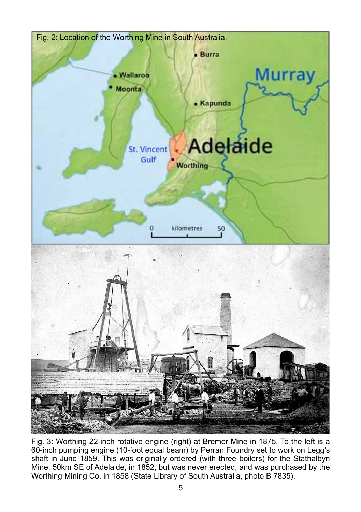

Fig. 3: Worthing 22-inch rotative engine (right) at Bremer Mine in 1875. To the left is a 60-inch pumping engine (10-foot equal beam) by Perran Foundry set to work on Legg's shaft in June 1859. This was originally ordered (with three boilers) for the Stathalbyn Mine, 50km SE of Adelaide, in 1852, but was never erected, and was purchased by the Worthing Mining Co. in 1858 (State Library of South Australia, photo B 7835).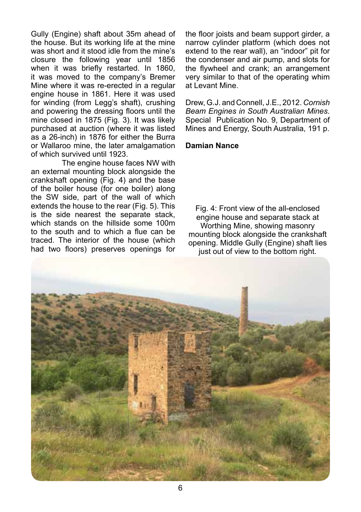Gully (Engine) shaft about 35m ahead of the house. But its working life at the mine was short and it stood idle from the mine's closure the following year until 1856 when it was briefly restarted. In 1860, it was moved to the company's Bremer Mine where it was re-erected in a regular engine house in 1861. Here it was used for winding (from Legg's shaft), crushing and powering the dressing floors until the mine closed in 1875 (Fig. 3). It was likely purchased at auction (where it was listed as a 26-inch) in 1876 for either the Burra or Wallaroo mine, the later amalgamation of which survived until 1923.

The engine house faces NW with an external mounting block alongside the crankshaft opening (Fig. 4) and the base of the boiler house (for one boiler) along the SW side, part of the wall of which extends the house to the rear (Fig. 5). This is the side nearest the separate stack, which stands on the hillside some 100m to the south and to which a flue can be traced. The interior of the house (which had two floors) preserves openings for the floor joists and beam support girder, a narrow cylinder platform (which does not extend to the rear wall), an "indoor" pit for the condenser and air pump, and slots for the flywheel and crank; an arrangement very similar to that of the operating whim at Levant Mine.

Drew, G.J. and Connell, J.E., 2012. *Cornish Beam Engines in South Australian Mines*. Special Publication No. 9, Department of Mines and Energy, South Australia, 191 p.

#### **Damian Nance**

Fig. 4: Front view of the all-enclosed engine house and separate stack at Worthing Mine, showing masonry mounting block alongside the crankshaft opening. Middle Gully (Engine) shaft lies just out of view to the bottom right.

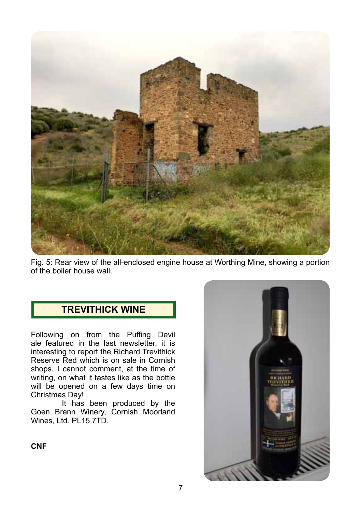

Fig. 5: Rear view of the all-enclosed engine house at Worthing Mine, showing a portion of the boiler house wall.

# **TREVITHICK WINE**

Following on from the Puffing Devil ale featured in the last newsletter, it is interesting to report the Richard Trevithick Reserve Red which is on sale in Cornish shops. I cannot comment, at the time of writing, on what it tastes like as the bottle will be opened on a few days time on Christmas Day!

It has been produced by the Goen Brenn Winery, Cornish Moorland Wines, Ltd. PL15 7TD.



**CNF**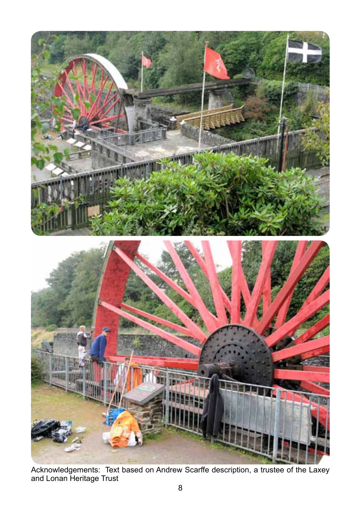

Acknowledgements: Text based on Andrew Scarffe description, a trustee of the Laxey and Lonan Heritage Trust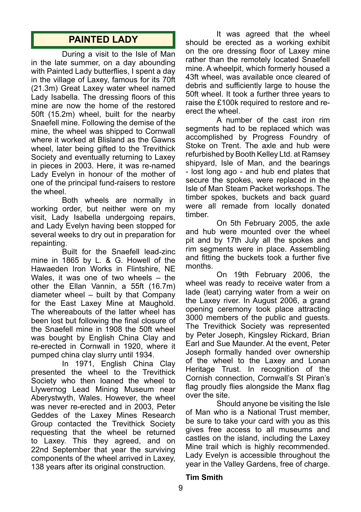# **PAINTED LADY**

During a visit to the Isle of Man in the late summer, on a day abounding with Painted Lady butterflies. I spent a day in the village of Laxey, famous for its 70ft (21.3m) Great Laxey water wheel named Lady Isabella. The dressing floors of this mine are now the home of the restored 50ft (15.2m) wheel, built for the nearby Snaefell mine. Following the demise of the mine, the wheel was shipped to Cornwall where it worked at Blisland as the Gawns wheel, later being gifted to the Trevithick Society and eventually returning to Laxey in pieces in 2003. Here, it was re-named Lady Evelyn in honour of the mother of one of the principal fund-raisers to restore the wheel.

Both wheels are normally in working order, but neither were on my visit, Lady Isabella undergoing repairs, and Lady Evelyn having been stopped for several weeks to dry out in preparation for repainting.

Built for the Snaefell lead-zinc mine in 1865 by L. & G. Howell of the Hawaeden Iron Works in Flintshire, NE Wales, it was one of two wheels – the other the Ellan Vannin, a 55ft (16.7m) diameter wheel – built by that Company for the East Laxey Mine at Maughold. The whereabouts of the latter wheel has been lost but following the final closure of the Snaefell mine in 1908 the 50ft wheel was bought by English China Clay and re-erected in Cornwall in 1920, where it pumped china clay slurry until 1934.

In 1971, English China Clay presented the wheel to the Trevithick Society who then loaned the wheel to Llywernog Lead Mining Museum near Aberystwyth, Wales. However, the wheel was never re-erected and in 2003, Peter Geddes of the Laxey Mines Research Group contacted the Trevithick Society requesting that the wheel be returned to Laxey. This they agreed, and on 22nd September that year the surviving components of the wheel arrived in Laxey, 138 years after its original construction.

It was agreed that the wheel should be erected as a working exhibit on the ore dressing floor of Laxey mine rather than the remotely located Snaefell mine. A wheelpit, which formerly housed a 43ft wheel, was available once cleared of debris and sufficiently large to house the 50ft wheel. It took a further three years to raise the £100k required to restore and reerect the wheel.

A number of the cast iron rim segments had to be replaced which was accomplished by Progress Foundry of Stoke on Trent. The axle and hub were refurbished by Booth Kelley Ltd. at Ramsey shipyard, Isle of Man, and the bearings - lost long ago - and hub end plates that secure the spokes, were replaced in the Isle of Man Steam Packet workshops. The timber spokes, buckets and back guard were all remade from locally donated timber.

On 5th February 2005, the axle and hub were mounted over the wheel pit and by 17th July all the spokes and rim segments were in place. Assembling and fitting the buckets took a further five months.

On 19th February 2006, the wheel was ready to receive water from a lade (leat) carrying water from a weir on the Laxey river. In August 2006, a grand opening ceremony took place attracting 3000 members of the public and guests. The Trevithick Society was represented by Peter Joseph, Kingsley Rickard, Brian Earl and Sue Maunder. At the event, Peter Joseph formally handed over ownership of the wheel to the Laxey and Lonan Heritage Trust. In recognition of the Cornish connection, Cornwall's St Piran's flag proudly flies alongside the Manx flag over the site.

Should anyone be visiting the Isle of Man who is a National Trust member, be sure to take your card with you as this gives free access to all museums and castles on the island, including the Laxey Mine trail which is highly recommended. Lady Evelyn is accessible throughout the year in the Valley Gardens, free of charge.

#### **Tim Smith**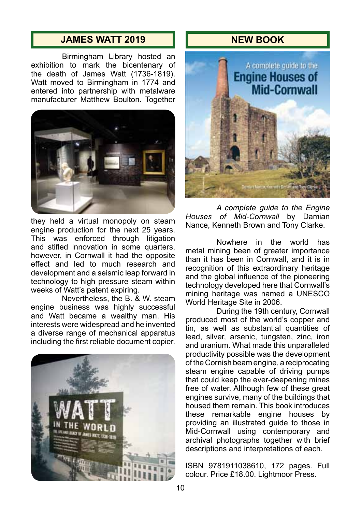# **JAMES WATT 2019 NEW BOOK**

Birmingham Library hosted an exhibition to mark the bicentenary of the death of James Watt (1736-1819). Watt moved to Birmingham in 1774 and entered into partnership with metalware manufacturer Matthew Boulton. Together



they held a virtual monopoly on steam engine production for the next 25 years. This was enforced through litigation and stifled innovation in some quarters, however, in Cornwall it had the opposite effect and led to much research and development and a seismic leap forward in technology to high pressure steam within weeks of Watt's patent expiring.

Nevertheless, the B. & W. steam engine business was highly successful and Watt became a wealthy man. His interests were widespread and he invented a diverse range of mechanical apparatus including the first reliable document copier.





*A complete guide to the Engine Houses of Mid-Cornwall* by Damian Nance, Kenneth Brown and Tony Clarke.

Nowhere in the world has metal mining been of greater importance than it has been in Cornwall, and it is in recognition of this extraordinary heritage and the global influence of the pioneering technology developed here that Cornwall's mining heritage was named a UNESCO World Heritage Site in 2006.

During the 19th century, Cornwall produced most of the world's copper and tin, as well as substantial quantities of lead, silver, arsenic, tungsten, zinc, iron and uranium. What made this unparalleled productivity possible was the development of the Cornish beam engine, a reciprocating steam engine capable of driving pumps that could keep the ever-deepening mines free of water. Although few of these great engines survive, many of the buildings that housed them remain. This book introduces these remarkable engine houses by providing an illustrated guide to those in Mid-Cornwall using contemporary and archival photographs together with brief descriptions and interpretations of each.

ISBN 9781911038610, 172 pages. Full colour. Price £18.00. Lightmoor Press.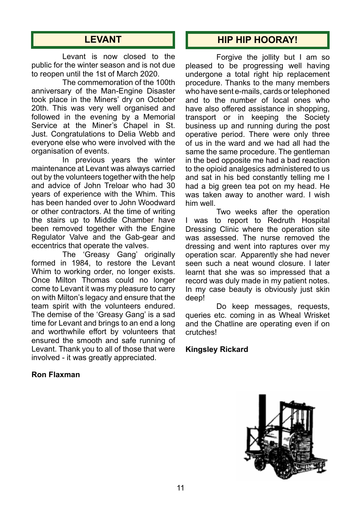# **LEVANT**

Levant is now closed to the public for the winter season and is not due to reopen until the 1st of March 2020.

The commemoration of the 100th anniversary of the Man-Engine Disaster took place in the Miners' dry on October 20th. This was very well organised and followed in the evening by a Memorial Service at the Miner's Chapel in St. Just. Congratulations to Delia Webb and everyone else who were involved with the organisation of events.

In previous years the winter maintenance at Levant was always carried out by the volunteers together with the help and advice of John Treloar who had 30 years of experience with the Whim. This has been handed over to John Woodward or other contractors. At the time of writing the stairs up to Middle Chamber have been removed together with the Engine Regulator Valve and the Gab-gear and eccentrics that operate the valves.

The 'Greasy Gang' originally formed in 1984, to restore the Levant Whim to working order, no longer exists. Once Milton Thomas could no longer come to Levant it was my pleasure to carry on with Milton's legacy and ensure that the team spirit with the volunteers endured. The demise of the 'Greasy Gang' is a sad time for Levant and brings to an end a long and worthwhile effort by volunteers that ensured the smooth and safe running of Levant. Thank you to all of those that were involved - it was greatly appreciated.

#### **Ron Flaxman**

# **HIP HIP HOORAY!**

Forgive the jollity but I am so pleased to be progressing well having undergone a total right hip replacement procedure. Thanks to the many members who have sent e-mails, cards or telephoned and to the number of local ones who have also offered assistance in shopping, transport or in keeping the Society business up and running during the post operative period. There were only three of us in the ward and we had all had the same the same procedure. The gentleman in the bed opposite me had a bad reaction to the opioid analgesics administered to us and sat in his bed constantly telling me I had a big green tea pot on my head. He was taken away to another ward. I wish him well.

Two weeks after the operation I was to report to Redruth Hospital Dressing Clinic where the operation site was assessed. The nurse removed the dressing and went into raptures over my operation scar. Apparently she had never seen such a neat wound closure. I later learnt that she was so impressed that a record was duly made in my patient notes. In my case beauty is obviously just skin deep!

Do keep messages, requests, queries etc. coming in as Wheal Wrisket and the Chatline are operating even if on crutches!

#### **Kingsley Rickard**

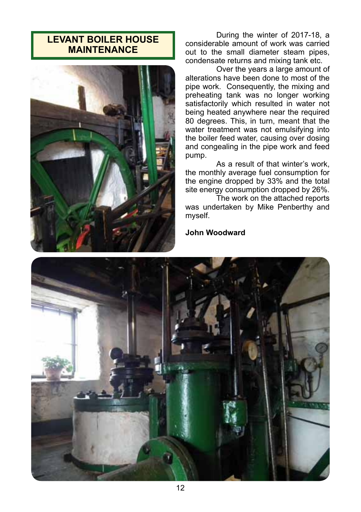# **LEVANT BOILER HOUSE MAINTENANCE**



During the winter of 2017-18, a considerable amount of work was carried out to the small diameter steam pipes, condensate returns and mixing tank etc.

Over the years a large amount of alterations have been done to most of the pipe work. Consequently, the mixing and preheating tank was no longer working satisfactorily which resulted in water not being heated anywhere near the required 80 degrees. This, in turn, meant that the water treatment was not emulsifying into the boiler feed water, causing over dosing and congealing in the pipe work and feed pump.

As a result of that winter's work. the monthly average fuel consumption for the engine dropped by 33% and the total site energy consumption dropped by 26%.

The work on the attached reports was undertaken by Mike Penberthy and myself.

#### **John Woodward**

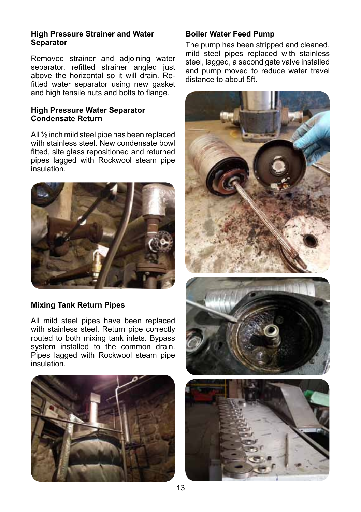#### **High Pressure Strainer and Water Separator**

Removed strainer and adjoining water separator, refitted strainer angled just above the horizontal so it will drain. Refitted water separator using new gasket and high tensile nuts and bolts to flange.

#### **High Pressure Water Separator Condensate Return**

All ½ inch mild steel pipe has been replaced with stainless steel. New condensate bowl fitted, site glass repositioned and returned pipes lagged with Rockwool steam pipe insulation.



#### **Mixing Tank Return Pipes**

All mild steel pipes have been replaced with stainless steel. Return pipe correctly routed to both mixing tank inlets. Bypass system installed to the common drain. Pipes lagged with Rockwool steam pipe insulation.



#### **Boiler Water Feed Pump**

The pump has been stripped and cleaned, mild steel pipes replaced with stainless steel, lagged, a second gate valve installed and pump moved to reduce water travel distance to about 5ft.

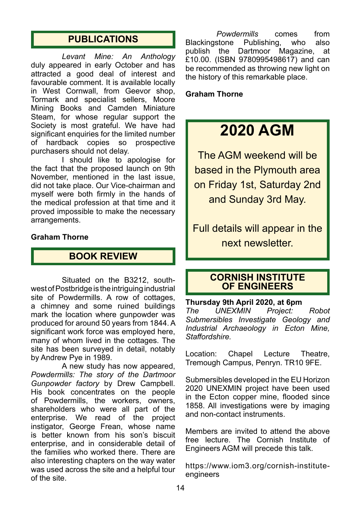# **PUBLICATIONS**

*Levant Mine: An Anthology* duly appeared in early October and has attracted a good deal of interest and favourable comment. It is available locally in West Cornwall, from Geevor shop, Tormark and specialist sellers, Moore Mining Books and Camden Miniature Steam, for whose regular support the Society is most grateful. We have had significant enquiries for the limited number of hardback copies so prospective purchasers should not delay.

I should like to apologise for the fact that the proposed launch on 9th November, mentioned in the last issue, did not take place. Our Vice-chairman and myself were both firmly in the hands of the medical profession at that time and it proved impossible to make the necessary arrangements.

#### **Graham Thorne**

# **BOOK REVIEW**

Situated on the B3212, southwest of Postbridge is the intriguing industrial site of Powdermills. A row of cottages, a chimney and some ruined buildings mark the location where gunpowder was produced for around 50 years from 1844. A significant work force was employed here, many of whom lived in the cottages. The site has been surveyed in detail, notably by Andrew Pye in 1989.

A new study has now appeared, *Powdermills: The story of the Dartmoor Gunpowder factory* by Drew Campbell. His book concentrates on the people of Powdermills, the workers, owners, shareholders who were all part of the enterprise. We read of the project instigator, George Frean, whose name is better known from his son's biscuit enterprise, and in considerable detail of the families who worked there. There are also interesting chapters on the way water was used across the site and a helpful tour of the site.

*Powdermills* comes from Blackingstone Publishing, who also<br>publish the Dartmoor Magazine, at publish the Dartmoor £10.00. (ISBN 9780995498617) and can be recommended as throwing new light on the history of this remarkable place.

#### **Graham Thorne**

# **2020 AGM**

The AGM weekend will be based in the Plymouth area on Friday 1st, Saturday 2nd and Sunday 3rd May.

Full details will appear in the next newsletter.

#### **CORNISH INSTITUTE OF ENGINEERS**

**Thursday 9th April 2020, at 6pm** *The UNEXMIN Project: Robot Submersibles Investigate Geology and Industrial Archaeology in Ecton Mine, Staffordshire.*

Location: Chapel Lecture Theatre, Tremough Campus, Penryn. TR10 9FE.

Submersibles developed in the EU Horizon 2020 UNEXMIN project have been used in the Ecton copper mine, flooded since 1858. All investigations were by imaging and non-contact instruments.

Members are invited to attend the above free lecture. The Cornish Institute of Engineers AGM will precede this talk.

https://www.iom3.org/cornish-instituteengineers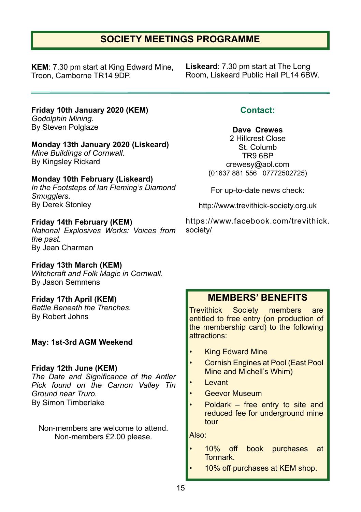# **SOCIETY MEETINGS PROGRAMME**

**KEM**: 7.30 pm start at King Edward Mine, Troon, Camborne TR14 9DP.

**Liskeard**: 7.30 pm start at The Long Room, Liskeard Public Hall PL14 6BW.

**Friday 10th January 2020 (KEM)** *Godolphin Mining.* By Steven Polglaze

**Monday 13th January 2020 (Liskeard)**

*Mine Buildings of Cornwall.* By Kingsley Rickard

**Monday 10th February (Liskeard)**

*In the Footsteps of Ian Fleming's Diamond Smugglers.* By Derek Stonley

**Friday 14th February (KEM)** *National Explosives Works: Voices from the past.* By Jean Charman

**Friday 13th March (KEM)** *Witchcraft and Folk Magic in Cornwall.* By Jason Semmens

**Friday 17th April (KEM)** *Battle Beneath the Trenches.* By Robert Johns

**May: 1st-3rd AGM Weekend**

#### **Friday 12th June (KEM)**

*The Date and Significance of the Antler Pick found on the Carnon Valley Tin Ground near Truro.* By Simon Timberlake

Non-members are welcome to attend. Non-members £2.00 please.

**Contact:**

**Dave Crewes**

2 Hillcrest Close St. Columb TR9 6BP crewesy@aol.com (01637 881 556 07772502725)

For up-to-date news check:

http://www.trevithick-society.org.uk

https://www.facebook.com/trevithick. society/

## **MEMBERS' BENEFITS**

Trevithick Society members are entitled to free entry (on production of the membership card) to the following attractions:

- **King Edward Mine**
- Cornish Engines at Pool (East Pool Mine and Michell's Whim)
- Levant
- Geevor Museum
- Poldark  $-$  free entry to site and reduced fee for underground mine tour

Also:

- 10% off book purchases at Tormark.
	- 10% off purchases at KEM shop.